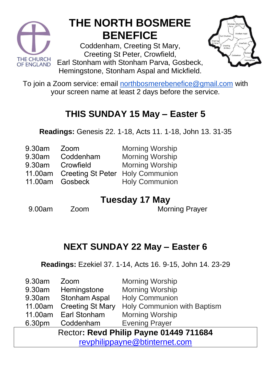

# **THE NORTH BOSMERE BENEFICE**

Coddenham, Creeting St Mary, Creeting St Peter, Crowfield,

Earl Stonham with Stonham Parva, Gosbeck, Hemingstone, Stonham Aspal and Mickfield.



To join a Zoom service: email [northbosmerebenefice@gmail.com](mailto:northbosmerebenefice@gmail.com) with your screen name at least 2 days before the service.

## **THIS SUNDAY 15 May – Easter 5**

**Readings:** Genesis 22. 1-18, Acts 11. 1-18, John 13. 31-35

| 9.30am | Zoom      | <b>Morning Worsh</b> |
|--------|-----------|----------------------|
| 9.30am | Coddenham | <b>Morning Worsh</b> |

- 9.30am **Crowfield**
- 11.00am
- 11.00am Gosbeck

hip hip Morning Worship

- Creeting St Peter Holy Communion
	- Holy Communion

### **Tuesday 17 May**

9.00am Zoom Morning Prayer

## **NEXT SUNDAY 22 May – Easter 6**

**Readings:** Ezekiel 37. 1-14, Acts 16. 9-15, John 14. 23-29

| 9.30am                                 | Zoom                    | <b>Morning Worship</b>             |  |  |
|----------------------------------------|-------------------------|------------------------------------|--|--|
| 9.30am                                 | Hemingstone             | <b>Morning Worship</b>             |  |  |
| 9.30am                                 | <b>Stonham Aspal</b>    | <b>Holy Communion</b>              |  |  |
| 11.00am                                | <b>Creeting St Mary</b> | <b>Holy Communion with Baptism</b> |  |  |
| 11.00am                                | <b>Earl Stonham</b>     | <b>Morning Worship</b>             |  |  |
| 6.30pm                                 | Coddenham               | <b>Evening Prayer</b>              |  |  |
| Rector: Revd Philip Payne 01449 711684 |                         |                                    |  |  |
| revphilippayne@btinternet.com          |                         |                                    |  |  |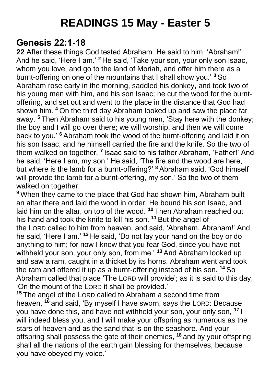# **READINGS 15 May - Easter 5**

#### **Genesis 22:1-18**

**22** After these things God tested Abraham. He said to him, 'Abraham!' And he said, 'Here I am.' **<sup>2</sup>** He said, 'Take your son, your only son Isaac, whom you love, and go to the land of Moriah, and offer him there as a burnt-offering on one of the mountains that I shall show you.' **<sup>3</sup>** So Abraham rose early in the morning, saddled his donkey, and took two of his young men with him, and his son Isaac; he cut the wood for the burntoffering, and set out and went to the place in the distance that God had shown him. **<sup>4</sup>** On the third day Abraham looked up and saw the place far away. **<sup>5</sup>** Then Abraham said to his young men, 'Stay here with the donkey; the boy and I will go over there; we will worship, and then we will come back to you.' **<sup>6</sup>** Abraham took the wood of the burnt-offering and laid it on his son Isaac, and he himself carried the fire and the knife. So the two of them walked on together. **<sup>7</sup>** Isaac said to his father Abraham, 'Father!' And he said, 'Here I am, my son.' He said, 'The fire and the wood are here, but where is the lamb for a burnt-offering?' **<sup>8</sup>** Abraham said, 'God himself will provide the lamb for a burnt-offering, my son.' So the two of them walked on together.

**<sup>9</sup>** When they came to the place that God had shown him, Abraham built an altar there and laid the wood in order. He bound his son Isaac, and laid him on the altar, on top of the wood. **<sup>10</sup>** Then Abraham reached out his hand and took the knife to kill his son. **<sup>11</sup>** But the angel of the LORD called to him from heaven, and said, 'Abraham, Abraham!' And he said, 'Here I am.' **<sup>12</sup>** He said, 'Do not lay your hand on the boy or do anything to him; for now I know that you fear God, since you have not withheld your son, your only son, from me.' **<sup>13</sup>** And Abraham looked up and saw a ram, caught in a thicket by its horns. Abraham went and took the ram and offered it up as a burnt-offering instead of his son. **<sup>14</sup>** So Abraham called that place 'The LORD will provide'; as it is said to this day, 'On the mount of the LORD it shall be provided.'

**<sup>15</sup>** The angel of the LORD called to Abraham a second time from heaven, **<sup>16</sup>** and said, 'By myself I have sworn, says the LORD: Because you have done this, and have not withheld your son, your only son, **<sup>17</sup>** I will indeed bless you, and I will make your offspring as numerous as the stars of heaven and as the sand that is on the seashore. And your offspring shall possess the gate of their enemies, **<sup>18</sup>** and by your offspring shall all the nations of the earth gain blessing for themselves, because you have obeyed my voice.'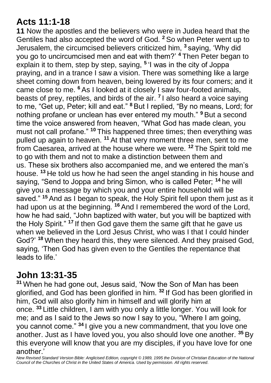#### **Acts 11:1-18**

**11** Now the apostles and the believers who were in Judea heard that the Gentiles had also accepted the word of God. **<sup>2</sup>** So when Peter went up to Jerusalem, the circumcised believers criticized him, **<sup>3</sup>** saying, 'Why did you go to uncircumcised men and eat with them?' **<sup>4</sup>** Then Peter began to explain it to them, step by step, saying, **<sup>5</sup>** 'I was in the city of Joppa praying, and in a trance I saw a vision. There was something like a large sheet coming down from heaven, being lowered by its four corners; and it came close to me. **<sup>6</sup>** As I looked at it closely I saw four-footed animals, beasts of prey, reptiles, and birds of the air. **<sup>7</sup>** I also heard a voice saying to me, "Get up, Peter; kill and eat." **<sup>8</sup>** But I replied, "By no means, Lord; for nothing profane or unclean has ever entered my mouth." **<sup>9</sup>** But a second time the voice answered from heaven, "What God has made clean, you must not call profane." **<sup>10</sup>** This happened three times; then everything was pulled up again to heaven. **<sup>11</sup>** At that very moment three men, sent to me from Caesarea, arrived at the house where we were. **<sup>12</sup>** The Spirit told me to go with them and not to make a distinction between them and us. These six brothers also accompanied me, and we entered the man's house. **<sup>13</sup>** He told us how he had seen the angel standing in his house and saying, "Send to Joppa and bring Simon, who is called Peter; **<sup>14</sup>** he will give you a message by which you and your entire household will be saved." **<sup>15</sup>** And as I began to speak, the Holy Spirit fell upon them just as it had upon us at the beginning. **<sup>16</sup>** And I remembered the word of the Lord, how he had said, "John baptized with water, but you will be baptized with the Holy Spirit." **<sup>17</sup>** If then God gave them the same gift that he gave us when we believed in the Lord Jesus Christ, who was I that I could hinder God?' **<sup>18</sup>** When they heard this, they were silenced. And they praised God, saying, 'Then God has given even to the Gentiles the repentance that leads to life.'

#### **John 13:31-35**

**<sup>31</sup>** When he had gone out, Jesus said, 'Now the Son of Man has been glorified, and God has been glorified in him. **<sup>32</sup>** If God has been glorified in him, God will also glorify him in himself and will glorify him at once. **<sup>33</sup>** Little children, I am with you only a little longer. You will look for me; and as I said to the Jews so now I say to you, "Where I am going, you cannot come." **<sup>34</sup>** I give you a new commandment, that you love one another. Just as I have loved you, you also should love one another. **<sup>35</sup>** By this everyone will know that you are my disciples, if you have love for one another.'